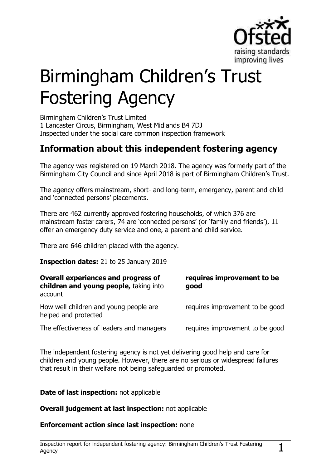

# Birmingham Children's Trust Fostering Agency

Birmingham Children's Trust Limited 1 Lancaster Circus, Birmingham, West Midlands B4 7DJ Inspected under the social care common inspection framework

## **Information about this independent fostering agency**

The agency was registered on 19 March 2018. The agency was formerly part of the Birmingham City Council and since April 2018 is part of Birmingham Children's Trust.

The agency offers mainstream, short- and long-term, emergency, parent and child and 'connected persons' placements.

There are 462 currently approved fostering households, of which 376 are mainstream foster carers, 74 are 'connected persons' (or 'family and friends'), 11 offer an emergency duty service and one, a parent and child service.

There are 646 children placed with the agency.

**Inspection dates:** 21 to 25 January 2019

| Overall experiences and progress of<br>children and young people, taking into<br>account | requires improvement to be<br>good |
|------------------------------------------------------------------------------------------|------------------------------------|
| How well children and young people are<br>helped and protected                           | requires improvement to be good    |
| The effectiveness of leaders and managers                                                | requires improvement to be good    |

The independent fostering agency is not yet delivering good help and care for children and young people. However, there are no serious or widespread failures that result in their welfare not being safeguarded or promoted.

**Date of last inspection:** not applicable

**Overall judgement at last inspection:** not applicable

**Enforcement action since last inspection:** none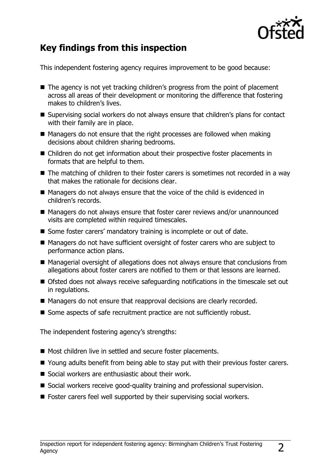

# **Key findings from this inspection**

This independent fostering agency requires improvement to be good because:

- The agency is not yet tracking children's progress from the point of placement across all areas of their development or monitoring the difference that fostering makes to children's lives.
- Supervising social workers do not always ensure that children's plans for contact with their family are in place.
- $\blacksquare$  Managers do not ensure that the right processes are followed when making decisions about children sharing bedrooms.
- Children do not get information about their prospective foster placements in formats that are helpful to them.
- The matching of children to their foster carers is sometimes not recorded in a way that makes the rationale for decisions clear.
- Managers do not always ensure that the voice of the child is evidenced in children's records.
- Managers do not always ensure that foster carer reviews and/or unannounced visits are completed within required timescales.
- Some foster carers' mandatory training is incomplete or out of date.
- Managers do not have sufficient oversight of foster carers who are subject to performance action plans.
- Managerial oversight of allegations does not always ensure that conclusions from allegations about foster carers are notified to them or that lessons are learned.
- Ofsted does not always receive safeguarding notifications in the timescale set out in regulations.
- Managers do not ensure that reapproval decisions are clearly recorded.
- Some aspects of safe recruitment practice are not sufficiently robust.

The independent fostering agency's strengths:

- Most children live in settled and secure foster placements.
- Young adults benefit from being able to stay put with their previous foster carers.
- $\blacksquare$  Social workers are enthusiastic about their work.
- Social workers receive good-quality training and professional supervision.
- Foster carers feel well supported by their supervising social workers.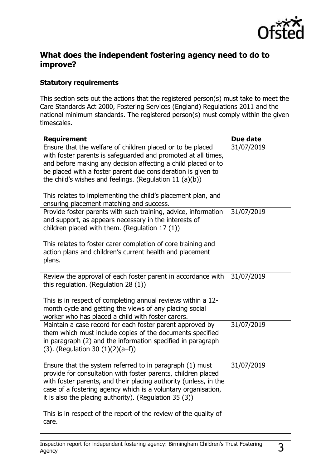

### **What does the independent fostering agency need to do to improve?**

#### **Statutory requirements**

This section sets out the actions that the registered person(s) must take to meet the Care Standards Act 2000, Fostering Services (England) Regulations 2011 and the national minimum standards. The registered person(s) must comply within the given timescales.

| <b>Requirement</b>                                                                                                                                                                                                                                                                                                                                                                                                                     | Due date   |
|----------------------------------------------------------------------------------------------------------------------------------------------------------------------------------------------------------------------------------------------------------------------------------------------------------------------------------------------------------------------------------------------------------------------------------------|------------|
| Ensure that the welfare of children placed or to be placed<br>with foster parents is safeguarded and promoted at all times,<br>and before making any decision affecting a child placed or to<br>be placed with a foster parent due consideration is given to<br>the child's wishes and feelings. (Regulation 11 $(a)(b)$ )<br>This relates to implementing the child's placement plan, and<br>ensuring placement matching and success. | 31/07/2019 |
| Provide foster parents with such training, advice, information<br>and support, as appears necessary in the interests of<br>children placed with them. (Regulation 17 (1))<br>This relates to foster carer completion of core training and<br>action plans and children's current health and placement<br>plans.                                                                                                                        | 31/07/2019 |
| Review the approval of each foster parent in accordance with<br>this regulation. (Regulation 28 $(1)$ )<br>This is in respect of completing annual reviews within a 12-<br>month cycle and getting the views of any placing social<br>worker who has placed a child with foster carers.                                                                                                                                                | 31/07/2019 |
| Maintain a case record for each foster parent approved by<br>them which must include copies of the documents specified<br>in paragraph (2) and the information specified in paragraph<br>$(3)$ . (Regulation 30 $(1)(2)(a-f)$ )                                                                                                                                                                                                        | 31/07/2019 |
| Ensure that the system referred to in paragraph (1) must<br>provide for consultation with foster parents, children placed<br>with foster parents, and their placing authority (unless, in the<br>case of a fostering agency which is a voluntary organisation,<br>it is also the placing authority). (Regulation 35 (3))<br>This is in respect of the report of the review of the quality of                                           | 31/07/2019 |
| care.                                                                                                                                                                                                                                                                                                                                                                                                                                  |            |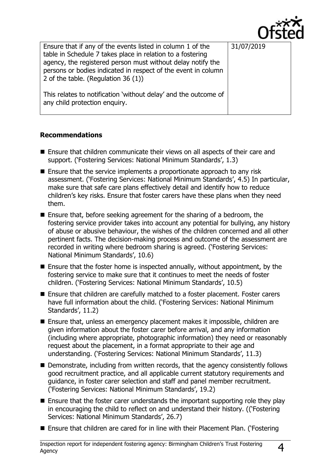

| Ensure that if any of the events listed in column 1 of the<br>table in Schedule 7 takes place in relation to a fostering<br>agency, the registered person must without delay notify the<br>persons or bodies indicated in respect of the event in column<br>2 of the table. (Regulation 36 (1)) | 31/07/2019 |
|-------------------------------------------------------------------------------------------------------------------------------------------------------------------------------------------------------------------------------------------------------------------------------------------------|------------|
| This relates to notification 'without delay' and the outcome of<br>any child protection enquiry.                                                                                                                                                                                                |            |

#### **Recommendations**

- Ensure that children communicate their views on all aspects of their care and support. ('Fostering Services: National Minimum Standards', 1.3)
- Ensure that the service implements a proportionate approach to any risk assessment. ('Fostering Services: National Minimum Standards', 4.5) In particular, make sure that safe care plans effectively detail and identify how to reduce children's key risks. Ensure that foster carers have these plans when they need them.
- Ensure that, before seeking agreement for the sharing of a bedroom, the fostering service provider takes into account any potential for bullying, any history of abuse or abusive behaviour, the wishes of the children concerned and all other pertinent facts. The decision-making process and outcome of the assessment are recorded in writing where bedroom sharing is agreed. ('Fostering Services: National Minimum Standards', 10.6)
- $\blacksquare$  Ensure that the foster home is inspected annually, without appointment, by the fostering service to make sure that it continues to meet the needs of foster children. ('Fostering Services: National Minimum Standards', 10.5)
- Ensure that children are carefully matched to a foster placement. Foster carers have full information about the child. ('Fostering Services: National Minimum Standards', 11.2)
- Ensure that, unless an emergency placement makes it impossible, children are given information about the foster carer before arrival, and any information (including where appropriate, photographic information) they need or reasonably request about the placement, in a format appropriate to their age and understanding. ('Fostering Services: National Minimum Standards', 11.3)
- Demonstrate, including from written records, that the agency consistently follows good recruitment practice, and all applicable current statutory requirements and guidance, in foster carer selection and staff and panel member recruitment. ('Fostering Services: National Minimum Standards', 19.2)
- $\blacksquare$  Ensure that the foster carer understands the important supporting role they play in encouraging the child to reflect on and understand their history. (('Fostering Services: National Minimum Standards', 26.7)
- Ensure that children are cared for in line with their Placement Plan. ('Fostering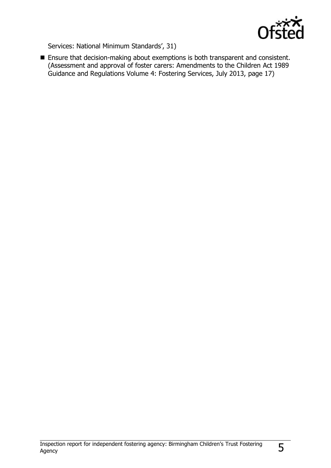

Services: National Minimum Standards', 31)

**Ensure that decision-making about exemptions is both transparent and consistent.** (Assessment and approval of foster carers: Amendments to the Children Act 1989 Guidance and Regulations Volume 4: Fostering Services, July 2013, page 17)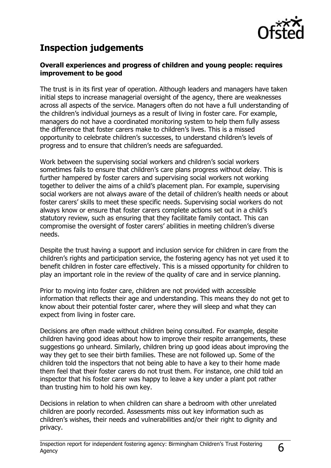

## **Inspection judgements**

#### **Overall experiences and progress of children and young people: requires improvement to be good**

The trust is in its first year of operation. Although leaders and managers have taken initial steps to increase managerial oversight of the agency, there are weaknesses across all aspects of the service. Managers often do not have a full understanding of the children's individual journeys as a result of living in foster care. For example, managers do not have a coordinated monitoring system to help them fully assess the difference that foster carers make to children's lives. This is a missed opportunity to celebrate children's successes, to understand children's levels of progress and to ensure that children's needs are safeguarded.

Work between the supervising social workers and children's social workers sometimes fails to ensure that children's care plans progress without delay. This is further hampered by foster carers and supervising social workers not working together to deliver the aims of a child's placement plan. For example, supervising social workers are not always aware of the detail of children's health needs or about foster carers' skills to meet these specific needs. Supervising social workers do not always know or ensure that foster carers complete actions set out in a child's statutory review, such as ensuring that they facilitate family contact. This can compromise the oversight of foster carers' abilities in meeting children's diverse needs.

Despite the trust having a support and inclusion service for children in care from the children's rights and participation service, the fostering agency has not yet used it to benefit children in foster care effectively. This is a missed opportunity for children to play an important role in the review of the quality of care and in service planning.

Prior to moving into foster care, children are not provided with accessible information that reflects their age and understanding. This means they do not get to know about their potential foster carer, where they will sleep and what they can expect from living in foster care.

Decisions are often made without children being consulted. For example, despite children having good ideas about how to improve their respite arrangements, these suggestions go unheard. Similarly, children bring up good ideas about improving the way they get to see their birth families. These are not followed up. Some of the children told the inspectors that not being able to have a key to their home made them feel that their foster carers do not trust them. For instance, one child told an inspector that his foster carer was happy to leave a key under a plant pot rather than trusting him to hold his own key.

Decisions in relation to when children can share a bedroom with other unrelated children are poorly recorded. Assessments miss out key information such as children's wishes, their needs and vulnerabilities and/or their right to dignity and privacy.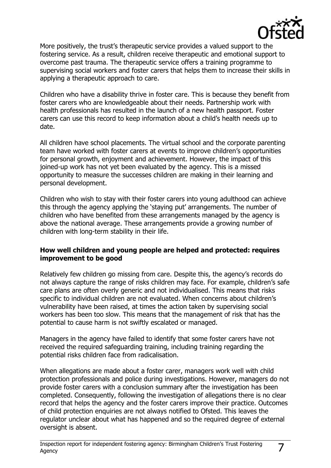

More positively, the trust's therapeutic service provides a valued support to the fostering service. As a result, children receive therapeutic and emotional support to overcome past trauma. The therapeutic service offers a training programme to supervising social workers and foster carers that helps them to increase their skills in applying a therapeutic approach to care.

Children who have a disability thrive in foster care. This is because they benefit from foster carers who are knowledgeable about their needs. Partnership work with health professionals has resulted in the launch of a new health passport. Foster carers can use this record to keep information about a child's health needs up to date.

All children have school placements. The virtual school and the corporate parenting team have worked with foster carers at events to improve children's opportunities for personal growth, enjoyment and achievement. However, the impact of this joined-up work has not yet been evaluated by the agency. This is a missed opportunity to measure the successes children are making in their learning and personal development.

Children who wish to stay with their foster carers into young adulthood can achieve this through the agency applying the 'staying put' arrangements. The number of children who have benefited from these arrangements managed by the agency is above the national average. These arrangements provide a growing number of children with long-term stability in their life.

#### **How well children and young people are helped and protected: requires improvement to be good**

Relatively few children go missing from care. Despite this, the agency's records do not always capture the range of risks children may face. For example, children's safe care plans are often overly generic and not individualised. This means that risks specific to individual children are not evaluated. When concerns about children's vulnerability have been raised, at times the action taken by supervising social workers has been too slow. This means that the management of risk that has the potential to cause harm is not swiftly escalated or managed.

Managers in the agency have failed to identify that some foster carers have not received the required safeguarding training, including training regarding the potential risks children face from radicalisation.

When allegations are made about a foster carer, managers work well with child protection professionals and police during investigations. However, managers do not provide foster carers with a conclusion summary after the investigation has been completed. Consequently, following the investigation of allegations there is no clear record that helps the agency and the foster carers improve their practice. Outcomes of child protection enquiries are not always notified to Ofsted. This leaves the regulator unclear about what has happened and so the required degree of external oversight is absent.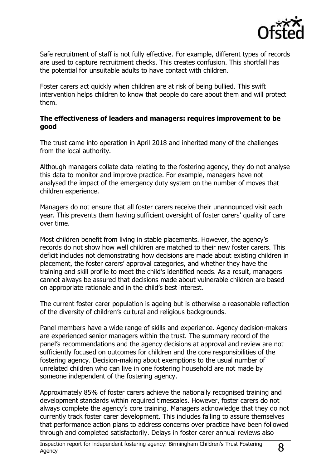

Safe recruitment of staff is not fully effective. For example, different types of records are used to capture recruitment checks. This creates confusion. This shortfall has the potential for unsuitable adults to have contact with children.

Foster carers act quickly when children are at risk of being bullied. This swift intervention helps children to know that people do care about them and will protect them.

#### **The effectiveness of leaders and managers: requires improvement to be good**

The trust came into operation in April 2018 and inherited many of the challenges from the local authority.

Although managers collate data relating to the fostering agency, they do not analyse this data to monitor and improve practice. For example, managers have not analysed the impact of the emergency duty system on the number of moves that children experience.

Managers do not ensure that all foster carers receive their unannounced visit each year. This prevents them having sufficient oversight of foster carers' quality of care over time.

Most children benefit from living in stable placements. However, the agency's records do not show how well children are matched to their new foster carers. This deficit includes not demonstrating how decisions are made about existing children in placement, the foster carers' approval categories, and whether they have the training and skill profile to meet the child's identified needs. As a result, managers cannot always be assured that decisions made about vulnerable children are based on appropriate rationale and in the child's best interest.

The current foster carer population is ageing but is otherwise a reasonable reflection of the diversity of children's cultural and religious backgrounds.

Panel members have a wide range of skills and experience. Agency decision-makers are experienced senior managers within the trust. The summary record of the panel's recommendations and the agency decisions at approval and review are not sufficiently focused on outcomes for children and the core responsibilities of the fostering agency. Decision-making about exemptions to the usual number of unrelated children who can live in one fostering household are not made by someone independent of the fostering agency.

Approximately 85% of foster carers achieve the nationally recognised training and development standards within required timescales. However, foster carers do not always complete the agency's core training. Managers acknowledge that they do not currently track foster carer development. This includes failing to assure themselves that performance action plans to address concerns over practice have been followed through and completed satisfactorily. Delays in foster carer annual reviews also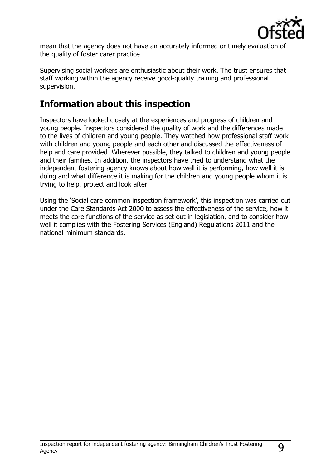

mean that the agency does not have an accurately informed or timely evaluation of the quality of foster carer practice.

Supervising social workers are enthusiastic about their work. The trust ensures that staff working within the agency receive good-quality training and professional supervision.

## **Information about this inspection**

Inspectors have looked closely at the experiences and progress of children and young people. Inspectors considered the quality of work and the differences made to the lives of children and young people. They watched how professional staff work with children and young people and each other and discussed the effectiveness of help and care provided. Wherever possible, they talked to children and young people and their families. In addition, the inspectors have tried to understand what the independent fostering agency knows about how well it is performing, how well it is doing and what difference it is making for the children and young people whom it is trying to help, protect and look after.

Using the 'Social care common inspection framework', this inspection was carried out under the Care Standards Act 2000 to assess the effectiveness of the service, how it meets the core functions of the service as set out in legislation, and to consider how well it complies with the Fostering Services (England) Regulations 2011 and the national minimum standards.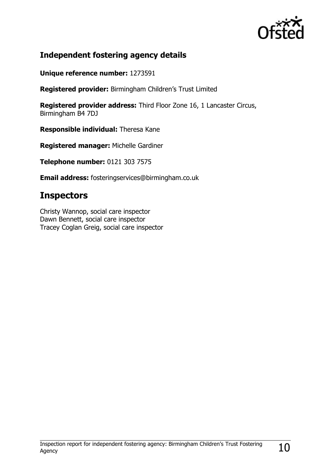

## **Independent fostering agency details**

**Unique reference number:** 1273591

**Registered provider:** Birmingham Children's Trust Limited

**Registered provider address:** Third Floor Zone 16, 1 Lancaster Circus, Birmingham B4 7DJ

**Responsible individual:** Theresa Kane

**Registered manager:** Michelle Gardiner

**Telephone number:** 0121 303 7575

**Email address:** fosteringservices@birmingham.co.uk

## **Inspectors**

Christy Wannop, social care inspector Dawn Bennett, social care inspector Tracey Coglan Greig, social care inspector